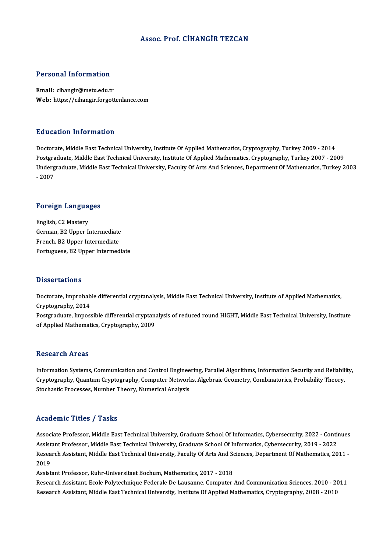## Assoc. Prof. CİHANGİR TEZCAN

#### Personal Information

Email: cihangir@metu.edu.tr Web: https://cihangir.forgottenlance.com

#### Education Information

Doctorate, Middle East Technical University, Institute Of Applied Mathematics, Cryptography, Turkey 2009 - 2014 Postgraduate, Middle East Technical University, Institute Of Applied Mathematics, Cryptography, Turkey 2007 - 2009 Doctorate, Middle East Technical University, Institute Of Applied Mathematics, Cryptography, Turkey 2009 - 2014<br>Postgraduate, Middle East Technical University, Institute Of Applied Mathematics, Cryptography, Turkey 2007 - Postgra<br>Underg<br>- 2007

# -<sub>2007</sub><br>Foreign Languages

Foreign Langua<br>English, C2 Mastery<br>Carman B2 Unnar L English, C2 Mastery<br>English, C2 Mastery<br>German, B2 Upper Intermediate English, C2 Mastery<br>German, B2 Upper Intermediate<br>French, B2 Upper Intermediate<br>Pertuguese B2 Upper Intermed French, B2 Upper Intermediate<br>Portuguese, B2 Upper Intermediate

#### **Dissertations**

Dissertations<br>Doctorate, Improbable differential cryptanalysis, Middle East Technical University, Institute of Applied Mathematics,<br>Cryptography, 2014 Dicoor carrons<br>Doctorate, Improbab<br>Cryptography, 2014<br>Bostareduste, Imperi Doctorate, Improbable differential cryptanalysis, Middle East Technical University, Institute of Applied Mathematics,<br>Cryptography, 2014<br>Postgraduate, Impossible differential cryptanalysis of reduced round HIGHT, Middle Ea

Cryptography, 2014<br>Postgraduate, Impossible differential cryptanalysis of reduced round HIGHT, Middle East Technical University, Institute<br>of Applied Mathematics, Cryptography, 2009

#### **Research Areas**

Research Areas<br>Information Systems, Communication and Control Engineering, Parallel Algorithms, Information Security and Reliability,<br>Cumtegraphy, Quantum Cumtegraphy, Computer Networks, Algebraic Coometry, Combinatories, resear en III eas<br>Information Systems, Communication and Control Engineering, Parallel Algorithms, Information Security and Reliabil<br>Cryptography, Quantum Cryptography, Computer Networks, Algebraic Geometry, Combinatorics, Cryptography, Quantum Cryptography, Computer Networks, Algebraic Geometry, Combinatorics, Probability Theory,<br>Stochastic Processes, Number Theory, Numerical Analysis

## Academic Titles / Tasks

Academic Titles / Tasks<br>Associate Professor, Middle East Technical University, Graduate School Of Informatics, Cybersecurity, 2022 - Continues<br>Assistant Professor, Middle East Technical University, Graduate School Of Infor Associate Professor, Middle East Technical University, Graduate School Of Informatics, Cybersecurity, 2022 - Conti<br>Assistant Professor, Middle East Technical University, Graduate School Of Informatics, Cybersecurity, 2019 Associate Professor, Middle East Technical University, Graduate School Of Informatics, Cybersecurity, 2022 - Continues<br>Assistant Professor, Middle East Technical University, Graduate School Of Informatics, Cybersecurity, 2 Assist<br>Resea<br>2019<br>Assist Research Assistant, Middle East Technical University, Faculty Of Arts And So<br>2019<br>Assistant Professor, Ruhr-Universitaet Bochum, Mathematics, 2017 - 2018<br>Besearch Assistant, Escle Boktschnique Eoderale De Lausanne, Compute

2019<br>Assistant Professor, Ruhr-Universitaet Bochum, Mathematics, 2017 - 2018<br>Research Assistant, Ecole Polytechnique Federale De Lausanne, Computer And Communication Sciences, 2010 - 2011<br>Research Assistant, Middle Fast Te Assistant Professor, Ruhr-Universitaet Bochum, Mathematics, 2017 - 2018<br>Research Assistant, Ecole Polytechnique Federale De Lausanne, Computer And Communication Sciences, 2010 - 20<br>Research Assistant, Middle East Technical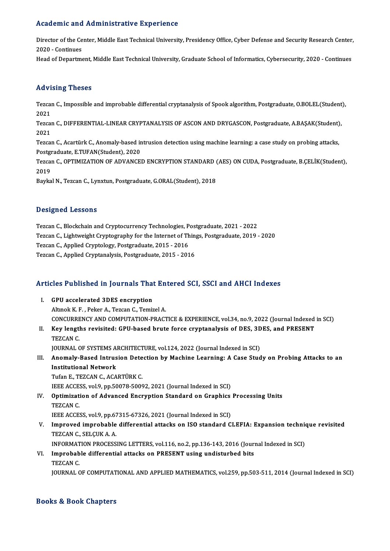## Academic and Administrative Experience

Academic and Administrative Experience<br>Director of the Center, Middle East Technical University, Presidency Office, Cyber Defense and Security Research Center, Director of the Ce<br>2020 - Continues<br>Head of Department

2020 - Continues<br>Head of Department, Middle East Technical University, Graduate School of Informatics, Cybersecurity, 2020 - Continues

# Advising Theses

Advising Theses<br>Tezcan C., Impossible and improbable differential cryptanalysis of Spook algorithm, Postgraduate, O.BOLEL(Student),<br>2021 rra vi<br>Tezcal<br>2021<br>Tezcal Tezcan C., Impossible and improbable differential cryptanalysis of Spook algorithm, Postgraduate, O.BOLEL(Student<br>2021<br>Tezcan C., DIFFERENTIAL-LINEAR CRYPTANALYSIS OF ASCON AND DRYGASCON, Postgraduate, A.BAŞAK(Student),<br>20

2021<br>Tezcal<br>2021<br>Tezcal Tezcan C., DIFFERENTIAL-LINEAR CRYPTANALYSIS OF ASCON AND DRYGASCON, Postgraduate, A.BAŞAK(Student)<br>2021<br>Tezcan C., Acartürk C., Anomaly-based intrusion detection using machine learning: a case study on probing attacks,

2021<br>Tezcan C., Acartürk C., Anomaly-based intrusion detection using machine learning: a case study on probing attacks,<br>Postgraduate, E.TUFAN(Student), 2020 Tezcan C., Acartürk C., Anomaly-based intrusion detection using machine learning: a case study on probing attacks,<br>Postgraduate, E.TUFAN(Student), 2020<br>Tezcan C., OPTIMIZATION OF ADVANCED ENCRYPTION STANDARD (AES) ON CUDA,

Postgi<br>Tezcai<br>2019<br>Povka Tezcan C., OPTIMIZATION OF ADVANCED ENCRYPTION STANDARD (<br>2019<br>Baykal N., Tezcan C., Lynxtun, Postgraduate, G.ORAL(Student), 2018

Baykal N., Tezcan C., Lynxtun, Postgraduate, G.ORAL(Student), 2018<br>Designed Lessons

Tezcan C., Blockchain and Cryptocurrency Technologies, Postgraduate, 2021 - 2022 D'ODIBNOG EODOOND<br>Tezcan C., Blockchain and Cryptocurrency Technologies, Postgraduate, 2021 - 2022<br>Tezcan C., Lightweight Cryptography for the Internet of Things, Postgraduate, 2019 - 2020<br>Tezcan C., Applied Cryptology, Po Tezcan C., Blockchain and Cryptocurrency Technologies, P<br>Tezcan C., Lightweight Cryptography for the Internet of Th<br>Tezcan C., Applied Cryptology, Postgraduate, 2015 - 2016<br>Tezcan C., Applied Cryptology, Postgraduate, 2015 Tezcan C., Lightweight Cryptography for the Internet of Thin<sub>i</sub><br>Tezcan C., Applied Cryptology, Postgraduate, 2015 - 2016<br>Tezcan C., Applied Cryptanalysis, Postgraduate, 2015 - 2016

# 1ezcan C., Applied Cryptanalysis, Postgraduate, 2015 - 2016<br>Articles Published in Journals That Entered SCI, SSCI and AHCI Indexes

- **Tricles Published in Journals That**<br>I. GPU accelerated 3DES encryption I. GPU accelerated 3DES encryption<br>Altınok K.F., Peker A., Tezcan C., Temizel A. CONCURRENCYANDCOMPUTATION-PRACTICE&EXPERIENCE,vol.34,no.9,2022 (Journal Indexed inSCI) Altmok K. F. , Peker A., Tezcan C., Temizel A.<br>CONCURRENCY AND COMPUTATION-PRACTICE & EXPERIENCE, vol.34, no.9, 2022 (Journal Indexed<br>II. Key lengths revisited: GPU-based brute force cryptanalysis of DES, 3DES, and PRE
- CONCURRE<br>Key lengtl<br>TEZCAN C.<br>JOUPNAL C Key lengths revisited: GPU-based brute force cryptanalysis of DES, 3D<br>TEZCAN C.<br>JOURNAL OF SYSTEMS ARCHITECTURE, vol.124, 2022 (Journal Indexed in SCI)<br>Anomaly Pased Intrusion Detection by Machine Learning: A Gase Stud

TEZCAN C.<br>JOURNAL OF SYSTEMS ARCHITECTURE, vol.124, 2022 (Journal Indexed in SCI)<br>III. Anomaly-Based Intrusion Detection by Machine Learning: A Case Study on Probing Attacks to an<br>Institutional Network JOURNAL OF SYSTEMS ARCHITECTURE, vol.124, 2022 (Journal Indexed in SCI)<br>Anomaly-Based Intrusion Detection by Machine Learning: A Case Stud<br>Institutional Network<br>Tufan E., TEZCAN C., ACARTÜRK C. Anomaly-Based Intrusion Dete<br>Institutional Network<br>Tufan E., TEZCAN C., ACARTÜRK C.<br><sup>TEEE ACCESS</sup>. VO<sup>10</sup>. DD 50079-5009

I<mark>nstitutional Network</mark><br>Tufan E., TEZCAN C., ACARTÜRK C.<br>IEEE ACCESS, vol.9, pp.50078-50092, 2021 (Journal Indexed in SCI)<br>Ontimization of Advanced Encryption Standard on Cranhics Tufan E., TEZCAN C., ACARTÜRK C.<br>IEEE ACCESS, vol.9, pp.50078-50092, 2021 (Journal Indexed in SCI)<br>IV. Optimization of Advanced Encryption Standard on Graphics Processing Units<br>TEZCAN C

- **IEEE ACCE:**<br>**Optimizat:**<br>TEZCAN C.<br>IEEE ACCE: Optimization of Advanced Encryption Standard on Graphics<br>TEZCAN C.<br>IEEE ACCESS, vol.9, pp.67315-67326, 2021 (Journal Indexed in SCI)<br>Impreued imprehable differential attacks on ISO standard C
- TEZCAN C.<br>IEEE ACCESS, vol.9, pp.67315-67326, 2021 (Journal Indexed in SCI)<br>V. Improved improbable differential attacks on ISO standard CLEFIA: Expansion technique revisited<br>TEZCAN C. SELCUK A.A. **IEEE ACCESS, vol.9, pp.67<br>Improved improbable<br>TEZCAN C., SELÇUK A. A.**<br>INFORMATION PROCESS Improved improbable differential attacks on ISO standard CLEFIA: Expansion technic<br>TEZCAN C., SELÇUK A. A.<br>INFORMATION PROCESSING LETTERS, vol.116, no.2, pp.136-143, 2016 (Journal Indexed in SCI)<br>Improbable differential at TEZCAN C., SELÇUK A. A.<br>INFORMATION PROCESSING LETTERS, vol.116, no.2, pp.136-143, 2016 (Jour:<br>VI. Improbable differential attacks on PRESENT using undisturbed bits<br>TEZCAN C
- INFORMAT<br>I<mark>mprobab</mark><br>TEZCAN C.<br>IOUPNAL C TEZCAN C.<br>JOURNAL OF COMPUTATIONAL AND APPLIED MATHEMATICS, vol.259, pp.503-511, 2014 (Journal Indexed in SCI)

## Books&Book Chapters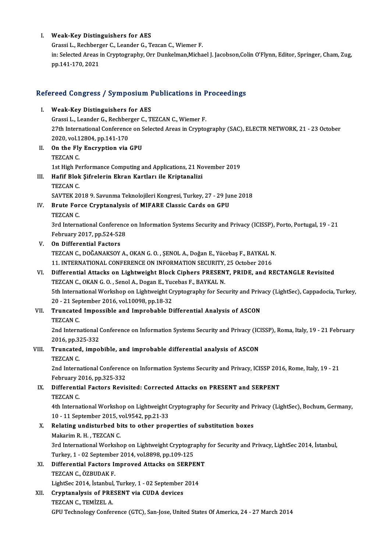### I. Weak-Key Distinguishers for AES

Grassi L., Rechberger C., Leander G., Tezcan C., Wiemer F. Weak-Key Distinguishers for AES<br>Grassi L., Rechberger C., Leander G., Tezcan C., Wiemer F.<br>in: Selected Areas in Cryptography, Orr Dunkelman,Michael J. Jacobson,Colin O'Flynn, Editor, Springer, Cham, Zug, Grassi L., Rechberg<br>in: Selected Areas i<br>pp.141-170, 2021

# pp.141-170, 2021<br>Refereed Congress / Symposium Publications in Proceedings

| Refereed Congress / Symposium Publications in Proceedings |                                                                                                                                          |
|-----------------------------------------------------------|------------------------------------------------------------------------------------------------------------------------------------------|
| Ι.                                                        | <b>Weak-Key Distinguishers for AES</b>                                                                                                   |
|                                                           | Grassi L., Leander G., Rechberger C., TEZCAN C., Wiemer F.                                                                               |
|                                                           | 27th International Conference on Selected Areas in Cryptography (SAC), ELECTR NETWORK, 21 - 23 October                                   |
|                                                           | 2020, vol 12804, pp 141-170                                                                                                              |
| Н.                                                        | On the Fly Encryption via GPU                                                                                                            |
|                                                           | <b>TEZCAN C</b>                                                                                                                          |
|                                                           | 1st High Performance Computing and Applications, 21 November 2019                                                                        |
| III.                                                      | Hafif Blok Şifrelerin Ekran Kartları ile Kriptanalizi                                                                                    |
|                                                           | <b>TEZCAN C</b>                                                                                                                          |
|                                                           | SAVTEK 2018 9. Savunma Teknolojileri Kongresi, Turkey, 27 - 29 June 2018                                                                 |
| IV.                                                       | Brute Force Cryptanalysis of MIFARE Classic Cards on GPU<br>TEZCAN C.                                                                    |
|                                                           | 3rd International Conference on Information Systems Security and Privacy (ICISSP), Porto, Portugal, 19 - 21                              |
|                                                           | February 2017, pp 524-528                                                                                                                |
| V.                                                        | On Differential Factors                                                                                                                  |
|                                                           | TEZCAN C., DOĞANAKSOY A., OKAN G. O., ŞENOL A., Doğan E., Yücebaş F., BAYKAL N.                                                          |
|                                                           | 11. INTERNATIONAL CONFERENCE ON INFORMATION SECURITY, 25 October 2016                                                                    |
| VI.                                                       | Differential Attacks on Lightweight Block Ciphers PRESENT, PRIDE, and RECTANGLE Revisited                                                |
|                                                           | TEZCAN C., OKAN G. O., Senol A., Dogan E., Yucebas F., BAYKAL N.                                                                         |
|                                                           | 5th International Workshop on Lightweight Cryptography for Security and Privacy (LightSec), Cappadocia, Turkey,                          |
|                                                           | 20 - 21 September 2016, vol.10098, pp.18-32                                                                                              |
| VII.                                                      | Truncated Impossible and Improbable Differential Analysis of ASCON<br>TEZCAN C                                                           |
|                                                           | 2nd International Conference on Information Systems Security and Privacy (ICISSP), Roma, Italy, 19 - 21 February                         |
|                                                           | 2016, pp.325-332                                                                                                                         |
| VIII.                                                     | Truncated, impobible, and improbable differential analysis of ASCON<br>TEZCAN C.                                                         |
|                                                           | 2nd International Conference on Information Systems Security and Privacy, ICISSP 2016, Rome, Italy, 19 - 21<br>February 2016, pp 325-332 |
| IX.                                                       | Differential Factors Revisited: Corrected Attacks on PRESENT and SERPENT                                                                 |
|                                                           | TEZCAN C                                                                                                                                 |
|                                                           | 4th International Workshop on Lightweight Cryptography for Security and Privacy (LightSec), Bochum, Germany,                             |
|                                                           | 10 - 11 September 2015, vol 9542, pp 21-33                                                                                               |
| Х.                                                        | Relating undisturbed bits to other properties of substitution boxes                                                                      |
|                                                           | Makarim R. H., TEZCAN C.                                                                                                                 |
|                                                           | 3rd International Workshop on Lightweight Cryptography for Security and Privacy, LightSec 2014, İstanbul,                                |
|                                                           | Turkey, 1 - 02 September 2014, vol 8898, pp 109-125                                                                                      |
| XI.                                                       | Differential Factors Improved Attacks on SERPENT                                                                                         |
|                                                           | TEZCAN C., ÖZBUDAK F.                                                                                                                    |
|                                                           | LightSec 2014, İstanbul, Turkey, 1 - 02 September 2014                                                                                   |
| XII.                                                      | Cryptanalysis of PRESENT via CUDA devices                                                                                                |
|                                                           | TEZCAN C., TEMIZEL A.                                                                                                                    |
|                                                           | GPU Technology Conference (GTC), San-Jose, United States Of America, 24 - 27 March 2014                                                  |